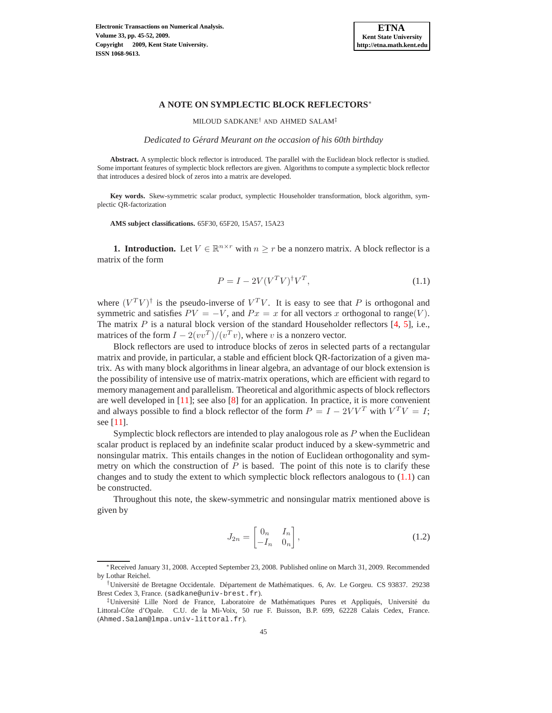

## **A NOTE ON SYMPLECTIC BLOCK REFLECTORS**<sup>∗</sup>

MILOUD SADKANE† AND AHMED SALAM‡

*Dedicated to Gerard Meurant on the occasion of his 60th birthday ´*

**Abstract.** A symplectic block reflector is introduced. The parallel with the Euclidean block reflector is studied. Some important features of symplectic block reflectors are given. Algorithms to compute a symplectic block reflector that introduces a desired block of zeros into a matrix are developed.

**Key words.** Skew-symmetric scalar product, symplectic Householder transformation, block algorithm, symplectic QR-factorization

**AMS subject classifications.** 65F30, 65F20, 15A57, 15A23

**1. Introduction.** Let  $V \in \mathbb{R}^{n \times r}$  with  $n \geq r$  be a nonzero matrix. A block reflector is a matrix of the form

<span id="page-0-0"></span>
$$
P = I - 2V(V^T V)^{\dagger} V^T,\tag{1.1}
$$

where  $(V^T V)^{\dagger}$  is the pseudo-inverse of  $V^T V$ . It is easy to see that P is orthogonal and symmetric and satisfies  $PV = -V$ , and  $Px = x$  for all vectors x orthogonal to range(V). The matrix  $P$  is a natural block version of the standard Householder reflectors  $[4, 5]$  $[4, 5]$ , i.e., matrices of the form  $I - 2(vv^T)/(v^Tv)$ , where v is a nonzero vector.

Block reflectors are used to introduce blocks of zeros in selected parts of a rectangular matrix and provide, in particular, a stable and efficient block QR-factorization of a given matrix. As with many block algorithms in linear algebra, an advantage of our block extension is the possibility of intensive use of matrix-matrix operations, which are efficient with regard to memory management and parallelism. Theoretical and algorithmic aspects of block reflectors are well developed in [\[11\]](#page-7-2); see also [\[8\]](#page-7-3) for an application. In practice, it is more convenient and always possible to find a block reflector of the form  $P = I - 2VV^T$  with  $V^T V = I$ ; see [\[11\]](#page-7-2).

Symplectic block reflectors are intended to play analogous role as  $P$  when the Euclidean scalar product is replaced by an indefinite scalar product induced by a skew-symmetric and nonsingular matrix. This entails changes in the notion of Euclidean orthogonality and symmetry on which the construction of  $P$  is based. The point of this note is to clarify these changes and to study the extent to which symplectic block reflectors analogous to  $(1.1)$  can be constructed.

Throughout this note, the skew-symmetric and nonsingular matrix mentioned above is given by

$$
J_{2n} = \begin{bmatrix} 0_n & I_n \\ -I_n & 0_n \end{bmatrix},\tag{1.2}
$$

<sup>∗</sup>Received January 31, 2008. Accepted September 23, 2008. Published online on March 31, 2009. Recommended by Lothar Reichel.

<sup>†</sup>Universit´e de Bretagne Occidentale. D´epartement de Math´ematiques. 6, Av. Le Gorgeu. CS 93837. 29238 Brest Cedex 3, France. (sadkane@univ-brest.fr).

<sup>‡</sup>Université Lille Nord de France, Laboratoire de Mathématiques Pures et Appliqués, Université du Littoral-Côte d'Opale. C.U. de la Mi-Voix, 50 rue F. Buisson, B.P. 699, 62228 Calais Cedex, France. (Ahmed.Salam@lmpa.univ-littoral.fr).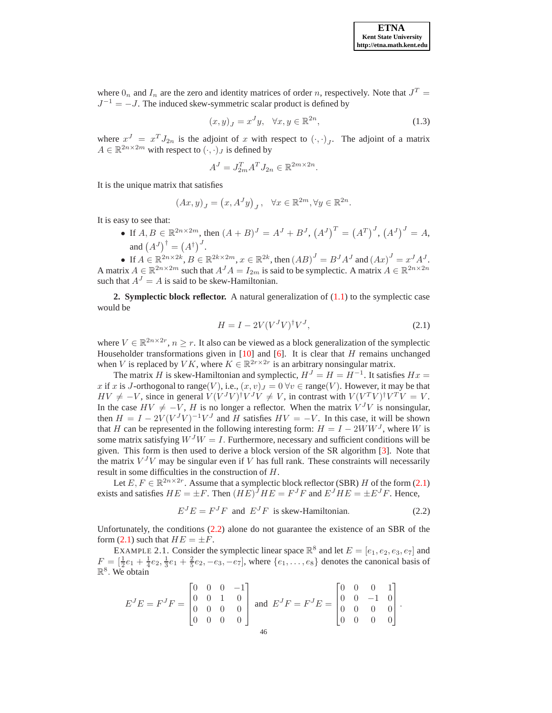where  $0_n$  and  $I_n$  are the zero and identity matrices of order n, respectively. Note that  $J^T$  =  $J^{-1} = -J$ . The induced skew-symmetric scalar product is defined by

$$
(x,y)_J = x^J y, \quad \forall x, y \in \mathbb{R}^{2n},\tag{1.3}
$$

where  $x^J = x^T J_{2n}$  is the adjoint of x with respect to  $(\cdot, \cdot)_J$ . The adjoint of a matrix  $A \in \mathbb{R}^{2n \times 2m}$  with respect to  $(\cdot, \cdot)_J$  is defined by

$$
A^{J} = J_{2m}^{T} A^{T} J_{2n} \in \mathbb{R}^{2m \times 2n}.
$$

It is the unique matrix that satisfies

$$
(Ax, y)_J = (x, A^J y)_J, \quad \forall x \in \mathbb{R}^{2m}, \forall y \in \mathbb{R}^{2n}.
$$

It is easy to see that:

• If  $A, B \in \mathbb{R}^{2n \times 2m}$ , then  $(A + B)^J = A^J + B^J$ ,  $(A^J)^T = (A^T)^J$ ,  $(A^J)^J = A$ , and  $(A^J)^\dagger = (A^\dagger)^J$ .

• If  $A \in \mathbb{R}^{2n \times 2k}$ ,  $B \in \mathbb{R}^{2k \times 2m}$ ,  $x \in \mathbb{R}^{2k}$ , then  $(AB)^J = B^J A^J$  and  $(Ax)^J = x^J A^J$ . A matrix  $A \in \mathbb{R}^{2n \times 2m}$  such that  $A^{J}A = I_{2m}$  is said to be symplectic. A matrix  $A \in \mathbb{R}^{2n \times 2n}$ such that  $A<sup>J</sup> = A$  is said to be skew-Hamiltonian.

**2. Symplectic block reflector.** A natural generalization of [\(1.1\)](#page-0-0) to the symplectic case would be

<span id="page-1-0"></span>
$$
H = I - 2V(V^J V)^{\dagger} V^J,\tag{2.1}
$$

where  $V \in \mathbb{R}^{2n \times 2r}$ ,  $n \geq r$ . It also can be viewed as a block generalization of the symplectic Householder transformations given in [\[10\]](#page-7-4) and [\[6\]](#page-7-5). It is clear that  $H$  remains unchanged when V is replaced by VK, where  $K \in \mathbb{R}^{2r \times 2r}$  is an arbitrary nonsingular matrix.

The matrix H is skew-Hamiltonian and symplectic,  $H<sup>J</sup> = H = H<sup>-1</sup>$ . It satisfies  $Hx =$ x if x is J-orthogonal to range(V), i.e.,  $(x, v)_J = 0 \,\forall v \in \text{range}(V)$ . However, it may be that  $HV \neq -V$ , since in general  $V(V^J V)^{\dagger} V^J V \neq V$ , in contrast with  $V(V^T V)^{\dagger} V^T V = V$ . In the case  $HV \neq -V$ , H is no longer a reflector. When the matrix  $V^{J}V$  is nonsingular, then  $H = I - 2V(V^J V)^{-1}V^J$  and H satisfies  $HV = -V$ . In this case, it will be shown that H can be represented in the following interesting form:  $H = I - 2WW^{J}$ , where W is some matrix satisfying  $W^{J}W = I$ . Furthermore, necessary and sufficient conditions will be given. This form is then used to derive a block version of the SR algorithm [\[3\]](#page-7-6). Note that the matrix  $V^{J}V$  may be singular even if V has full rank. These constraints will necessarily result in some difficulties in the construction of H.

Let  $E, F \in \mathbb{R}^{2n \times 2r}$ . Assume that a symplectic block reflector (SBR) H of the form [\(2.1\)](#page-1-0) exists and satisfies  $HE = \pm F$ . Then  $(HE)^JHE = F^JF$  and  $E^JHE = \pm E^JF$ . Hence,

<span id="page-1-1"></span>
$$
E^{J}E = F^{J}F \text{ and } E^{J}F \text{ is skew-Hamiltonian.}
$$
 (2.2)

.

Unfortunately, the conditions [\(2.2\)](#page-1-1) alone do not guarantee the existence of an SBR of the form [\(2.1\)](#page-1-0) such that  $HE = \pm F$ .

EXAMPLE 2.1. Consider the symplectic linear space  $\mathbb{R}^8$  and let  $E = [e_1, e_2, e_3, e_7]$  and  $F = \left[\frac{1}{2}e_1 + \frac{1}{4}e_2, \frac{1}{3}e_1 + \frac{2}{5}e_2, -e_3, -e_7\right]$ , where  $\{e_1, \ldots, e_8\}$  denotes the canonical basis of  $\mathbb{R}^8$ . We obtain

$$
E^{J}E = F^{J}F = \begin{bmatrix} 0 & 0 & 0 & -1 \\ 0 & 0 & 1 & 0 \\ 0 & 0 & 0 & 0 \\ 0 & 0 & 0 & 0 \end{bmatrix} \text{ and } E^{J}F = F^{J}E = \begin{bmatrix} 0 & 0 & 0 & 1 \\ 0 & 0 & -1 & 0 \\ 0 & 0 & 0 & 0 \\ 0 & 0 & 0 & 0 \end{bmatrix}
$$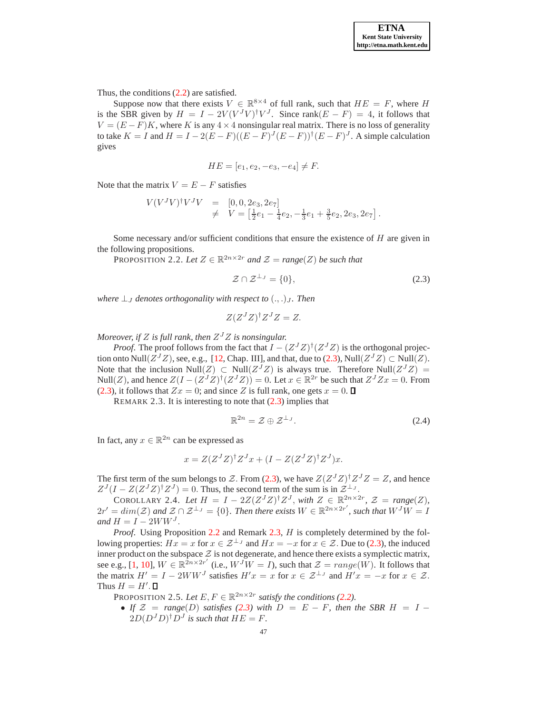Thus, the conditions [\(2.2\)](#page-1-1) are satisfied.

Suppose now that there exists  $V \in \mathbb{R}^{8 \times 4}$  of full rank, such that  $HE = F$ , where H is the SBR given by  $H = I - 2V(V^J V)^{\dagger} V^J$ . Since rank $(E - F) = 4$ , it follows that  $V = (E - F)K$ , where K is any 4 × 4 nonsingular real matrix. There is no loss of generality to take  $K = I$  and  $H = I - 2(E - F)((E - F)^J(E - F))^{\dagger}(E - F)^J$ . A simple calculation gives

$$
HE = [e_1, e_2, -e_3, -e_4] \neq F.
$$

Note that the matrix  $V = E - F$  satisfies

$$
V(V^{J}V)^{\dagger}V^{J}V = [0, 0, 2e_3, 2e_7] \neq V = \left[\frac{1}{2}e_1 - \frac{1}{4}e_2, -\frac{1}{3}e_1 + \frac{3}{5}e_2, 2e_3, 2e_7\right].
$$

Some necessary and/or sufficient conditions that ensure the existence of  $H$  are given in the following propositions.

PROPOSITION 2.2. Let  $Z \in \mathbb{R}^{2n \times 2r}$  and  $\mathcal{Z} = \text{range}(Z)$  be such that

<span id="page-2-1"></span><span id="page-2-0"></span>
$$
\mathcal{Z} \cap \mathcal{Z}^{\perp_J} = \{0\},\tag{2.3}
$$

*where*  $\perp$ <sub>*I*</sub> *denotes orthogonality with respect to*  $(.,.)$ <sub>*I*</sub>. *Then* 

$$
Z(Z^J Z)^{\dagger} Z^J Z = Z.
$$

*Moreover, if* Z *is full rank, then* Z <sup>J</sup>Z *is nonsingular.*

*Proof.* The proof follows from the fact that  $I - (Z<sup>J</sup>Z)<sup>†</sup>(Z<sup>J</sup>Z)$  is the orthogonal projection onto  $\text{Null}(Z^JZ)$ , see, e.g., [\[12,](#page-7-7) Chap. III], and that, due to [\(2.3\)](#page-2-0),  $\text{Null}(Z^JZ) \subset \text{Null}(Z)$ . Note that the inclusion Null $(Z)$   $\subset$  Null $(Z<sup>J</sup>Z)$  is always true. Therefore Null $(Z<sup>J</sup>Z)$  = Null(Z), and hence  $Z(I - (Z^{J}Z)^{\dagger} (Z^{J}Z)) = 0$ . Let  $x \in \mathbb{R}^{2r}$  be such that  $Z^{J}Zx = 0$ . From [\(2.3\)](#page-2-0), it follows that  $Zx = 0$ ; and since Z is full rank, one gets  $x = 0$ .

<span id="page-2-2"></span>REMARK 2.3. It is interesting to note that  $(2.3)$  implies that

$$
\mathbb{R}^{2n} = \mathcal{Z} \oplus \mathcal{Z}^{\perp_{J}}.\tag{2.4}
$$

In fact, any  $x \in \mathbb{R}^{2n}$  can be expressed as

$$
x = Z(Z^J Z)^{\dagger} Z^J x + (I - Z(Z^J Z)^{\dagger} Z^J) x.
$$

The first term of the sum belongs to Z. From [\(2.3\)](#page-2-0), we have  $Z(Z^J Z)^{\dagger} Z^J Z = Z$ , and hence  $Z^{J}(I - Z(Z^{J}Z)^{\dagger}Z^{J}) = 0$ . Thus, the second term of the sum is in  $\mathcal{Z}^{\perp_{J}}$ .

COROLLARY 2.4. Let  $H = I - 2Z(Z^J Z)^{\dagger} Z^J$ , with  $Z \in \mathbb{R}^{2n \times 2r}$ ,  $\mathcal{Z} = range(Z)$ ,  $2r' = dim(\mathcal{Z})$  and  $\mathcal{Z} \cap \mathcal{Z}^{\perp_J} = \{0\}$ . Then there exists  $W \in \mathbb{R}^{2n \times 2r'}$ , such that  $W^J W = I$ *and*  $H = I - 2WW^{J}$ .

*Proof.* Using Proposition [2.2](#page-2-1) and Remark [2.3,](#page-2-2) H is completely determined by the following properties:  $Hx = x$  for  $x \in \mathcal{Z}^{\perp_J}$  and  $Hx = -x$  for  $x \in \mathcal{Z}$ . Due to [\(2.3\)](#page-2-0), the induced inner product on the subspace  $\mathcal Z$  is not degenerate, and hence there exists a symplectic matrix, see e.g., [\[1,](#page-7-8) [10\]](#page-7-4),  $W \in \mathbb{R}^{2n \times 2r'}$  (i.e.,  $W^{J}W = I$ ), such that  $\mathcal{Z} = range(W)$ . It follows that the matrix  $H' = I - 2WW^J$  satisfies  $H'x = x$  for  $x \in \mathcal{Z}^{\perp_J}$  and  $H'x = -x$  for  $x \in \mathcal{Z}$ . Thus  $H = H'$ .

PROPOSITION 2.5. Let  $E, F \in \mathbb{R}^{2n \times 2r}$  satisfy the conditions [\(2.2\)](#page-1-1).

• If  $\mathcal{Z}$  = range(D) satisfies [\(2.3\)](#page-2-0) with  $D = E - F$ , then the SBR  $H = I (2D(D<sup>J</sup>D)<sup>†</sup>D<sup>J</sup>$  is such that  $HE = F$ .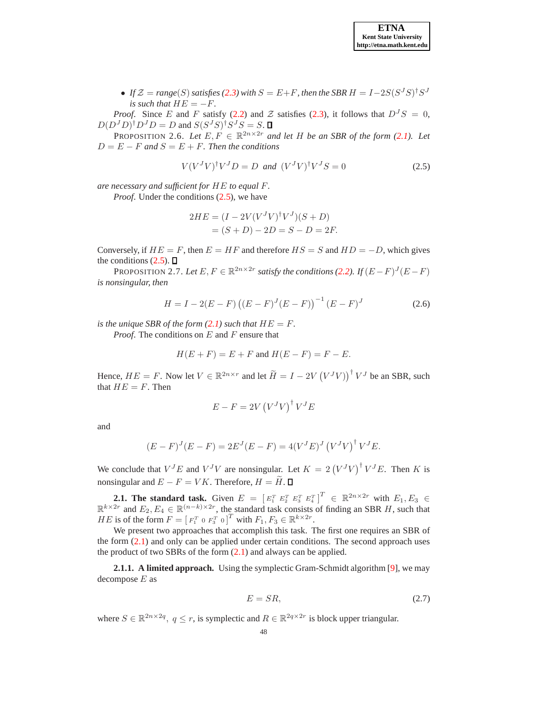• If  $\mathcal{Z} = \text{range}(S)$  satisfies [\(2.3\)](#page-2-0) with  $S = E + F$ , then the SBR  $H = I - 2S(S^J S)^{\dagger} S^J$ *is such that*  $HE = -F$ .

*Proof.* Since E and F satisfy [\(2.2\)](#page-1-1) and Z satisfies [\(2.3\)](#page-2-0), it follows that  $D^{J}S = 0$ ,  $D(D<sup>J</sup>D)<sup>\dagger</sup>D<sup>J</sup>D = D$  and  $S(S<sup>J</sup>S)<sup>\dagger</sup>S<sup>J</sup>S = S$ .

PROPOSITION 2.6. Let  $E, F \in \mathbb{R}^{2n \times 2r}$  and let H be an SBR of the form [\(2.1\)](#page-1-0). Let  $D = E - F$  and  $S = E + F$ . Then the conditions

<span id="page-3-0"></span>
$$
V(VJV)†VJD = D \text{ and } (VJV)†VJS = 0
$$
 (2.5)

*are necessary and sufficient for* HE *to equal* F*.*

*Proof.* Under the conditions  $(2.5)$ , we have

$$
2HE = (I - 2V(V^{J}V)^{\dagger}V^{J})(S + D)
$$
  
= (S + D) - 2D = S - D = 2F.

Conversely, if  $HE = F$ , then  $E = HF$  and therefore  $HS = S$  and  $HD = -D$ , which gives the conditions  $(2.5)$ .  $\Box$ 

PROPOSITION 2.7. Let  $E, F \in \mathbb{R}^{2n \times 2r}$  satisfy the conditions [\(2.2\)](#page-1-1). If  $(E - F)^J (E - F)$ *is nonsingular, then*

$$
H = I - 2(E - F) ((E - F)J (E - F))-1 (E - F)J
$$
 (2.6)

*is the unique SBR of the form*  $(2.1)$  *such that*  $HE = F$ .

*Proof.* The conditions on E and F ensure that

$$
H(E+F) = E+F \text{ and } H(E-F) = F-E.
$$

Hence,  $HE = F$ . Now let  $V \in \mathbb{R}^{2n \times r}$  and let  $\widetilde{H} = I - 2V(V^JV))^{\dagger} V^J$  be an SBR, such that  $HE = F$ . Then

$$
E - F = 2V(V^{J}V)^{\dagger}V^{J}E
$$

and

$$
(E - F)J(E - F) = 2EJ(E - F) = 4(VJE)J(VJV)†VJE.
$$

We conclude that  $V^J E$  and  $V^J V$  are nonsingular. Let  $K = 2 (V^J V)^{\dagger} V^J E$ . Then K is nonsingular and  $E - F = VK$ . Therefore,  $H = \widetilde{H}$ .  $\Box$ 

**2.1. The standard task.** Given  $E = [E_1^T E_2^T E_3^T E_4^T]^T \in \mathbb{R}^{2n \times 2r}$  with  $E_1, E_3 \in$  $\mathbb{R}^{k \times 2r}$  and  $E_2, E_4 \in \mathbb{R}^{(n-k) \times 2r}$ , the standard task consists of finding an SBR H, such that *HE* is of the form  $F = [F_1^T \circ F_3^T \circ]^T$  with  $F_1, F_3 \in \mathbb{R}^{k \times 2r}$ .

We present two approaches that accomplish this task. The first one requires an SBR of the form  $(2.1)$  and only can be applied under certain conditions. The second approach uses the product of two SBRs of the form  $(2.1)$  and always can be applied.

**2.1.1. A limited approach.** Using the symplectic Gram-Schmidt algorithm [\[9\]](#page-7-9), we may decompose  $E$  as

$$
E = SR,\t(2.7)
$$

where  $S \in \mathbb{R}^{2n \times 2q}$ ,  $q \le r$ , is symplectic and  $R \in \mathbb{R}^{2q \times 2r}$  is block upper triangular.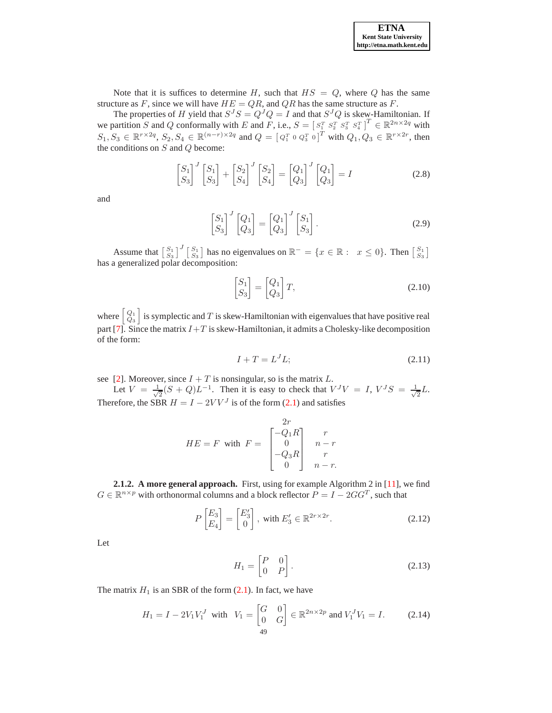Note that it is suffices to determine H, such that  $HS = Q$ , where Q has the same structure as F, since we will have  $HE = QR$ , and  $QR$  has the same structure as F.

The properties of H yield that  $S^{J}S = Q^{J}Q = I$  and that  $S^{J}Q$  is skew-Hamiltonian. If we partition S and Q conformally with E and F, i.e.,  $S = [S_1^T S_2^T S_3^T S_4^T]^T \in \mathbb{R}^{2n \times 2q}$  with  $S_1, S_3 \in \mathbb{R}^{r \times 2q}, S_2, S_4 \in \mathbb{R}^{(n-r) \times 2q}$  and  $Q = [Q_1^T \circ Q_3^T \circ]^{T}$  with  $Q_1, Q_3 \in \mathbb{R}^{r \times 2r}$ , then the conditions on  $S$  and  $Q$  become:

> $\lceil S_1$  $S_3$  $\big]$ <sup>J</sup>  $\big[ S_1$  $S_3$ 1  $^{+}$  $\lceil S_2$  $S_4$  $\left[\begin{array}{c} J \\ S_2 \end{array}\right]$  $S_4$ 1 =  $[Q_1$  $\,_{3}$  $\left[\begin{smallmatrix}J&\[1mm]Q_1\end{smallmatrix}\right]$  $\,_{3}$ 1  $(2.8)$

and

$$
\begin{bmatrix} S_1 \\ S_3 \end{bmatrix}^J \begin{bmatrix} Q_1 \\ Q_3 \end{bmatrix} = \begin{bmatrix} Q_1 \\ Q_3 \end{bmatrix}^J \begin{bmatrix} S_1 \\ S_3 \end{bmatrix} . \tag{2.9}
$$

Assume that  $\begin{bmatrix} S_1 \\ S_3 \end{bmatrix}^J \begin{bmatrix} S_1 \\ S_3 \end{bmatrix}$  has no eigenvalues on  $\mathbb{R}^- = \{x \in \mathbb{R} : x \leq 0\}$ . Then  $\begin{bmatrix} S_1 \\ S_3 \end{bmatrix}$ has a generalized polar decomposition:

$$
\begin{bmatrix} S_1 \\ S_3 \end{bmatrix} = \begin{bmatrix} Q_1 \\ Q_3 \end{bmatrix} T,
$$
\n(2.10)

where  $\left[ \begin{array}{c} Q_1 \\ Q_3 \end{array} \right]$ is symplectic and T is skew-Hamiltonian with eigenvalues that have positive real part [\[7\]](#page-7-10). Since the matrix  $I+T$  is skew-Hamiltonian, it admits a Cholesky-like decomposition of the form:

$$
I + T = L^J L; \tag{2.11}
$$

see [\[2\]](#page-7-11). Moreover, since  $I + T$  is nonsingular, so is the matrix L.

Let  $V = \frac{1}{\sqrt{2}}$  $\frac{1}{2}(S+Q)L^{-1}$ . Then it is easy to check that  $V^{J}V = I$ ,  $V^{J}S = \frac{1}{\sqrt{2}}$  $\frac{1}{2}L$ . Therefore, the SBR  $H = I - 2VV<sup>J</sup>$  is of the form [\(2.1\)](#page-1-0) and satisfies

$$
HE = F \text{ with } F = \begin{bmatrix} 2r \\ -Q_1R \\ 0 \\ -Q_3R \\ 0 \end{bmatrix} \begin{array}{c} r \\ n-r \\ r \\ n-r. \end{array}
$$

<span id="page-4-1"></span>**2.1.2. A more general approach.** First, using for example Algorithm 2 in [\[11\]](#page-7-2), we find  $G \in \mathbb{R}^{n \times p}$  with orthonormal columns and a block reflector  $P = I - 2GG^T$ , such that

<span id="page-4-0"></span>
$$
P\begin{bmatrix} E_3\\ E_4 \end{bmatrix} = \begin{bmatrix} E'_3\\ 0 \end{bmatrix}, \text{ with } E'_3 \in \mathbb{R}^{2r \times 2r}.
$$
 (2.12)

Let

$$
H_1 = \begin{bmatrix} P & 0 \\ 0 & P \end{bmatrix}.
$$
 (2.13)

The matrix  $H_1$  is an SBR of the form  $(2.1)$ . In fact, we have

$$
H_1 = I - 2V_1V_1^J \text{ with } V_1 = \begin{bmatrix} G & 0 \\ 0 & G \end{bmatrix} \in \mathbb{R}^{2n \times 2p} \text{ and } V_1^J V_1 = I. \tag{2.14}
$$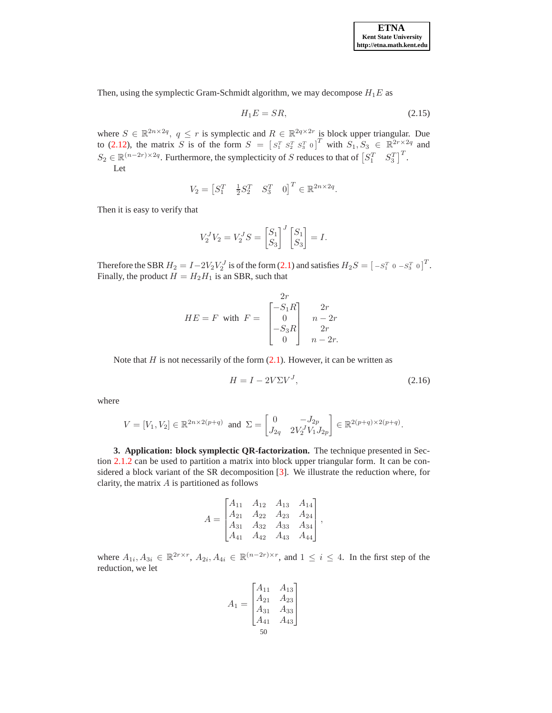Then, using the symplectic Gram-Schmidt algorithm, we may decompose  $H_1E$  as

$$
H_1 E = SR,\t\t(2.15)
$$

where  $S \in \mathbb{R}^{2n \times 2q}$ ,  $q \leq r$  is symplectic and  $R \in \mathbb{R}^{2q \times 2r}$  is block upper triangular. Due to [\(2.12\)](#page-4-0), the matrix S is of the form  $S = \begin{bmatrix} S_1^T & S_2^T & S_3^T & 0 \end{bmatrix}^T$  with  $S_1, S_3 \in \mathbb{R}^{2r \times 2q}$  and  $S_2 \in \mathbb{R}^{(n-2r)\times 2q}$ . Furthermore, the symplecticity of S reduces to that of  $\begin{bmatrix} S_1^T & S_3^T \end{bmatrix}^T$ . Let

$$
V_2 = \begin{bmatrix} S_1^T & \frac{1}{2} S_2^T & S_3^T & 0 \end{bmatrix}^T \in \mathbb{R}^{2n \times 2q}.
$$

Then it is easy to verify that

$$
V_2^J V_2 = V_2^J S = \begin{bmatrix} S_1 \\ S_3 \end{bmatrix}^J \begin{bmatrix} S_1 \\ S_3 \end{bmatrix} = I.
$$

Therefore the SBR  $H_2 = I - 2V_2 V_2^J$  is of the form [\(2.1\)](#page-1-0) and satisfies  $H_2S = \begin{bmatrix} -S_1^T & 0 & -S_3^T & 0 \end{bmatrix}^T$ . Finally, the product  $H = H_2 H_1$  is an SBR, such that

$$
HE = F \text{ with } F = \begin{bmatrix} 2r \\ -S_1R \\ 0 \\ -S_3R \\ 0 \end{bmatrix} \begin{array}{c} 2r \\ n-2r \\ 2r \\ n-2r. \end{array}
$$

Note that  $H$  is not necessarily of the form  $(2.1)$ . However, it can be written as

$$
H = I - 2V\Sigma V^J,\tag{2.16}
$$

where

$$
V = [V_1, V_2] \in \mathbb{R}^{2n \times 2(p+q)} \text{ and } \Sigma = \begin{bmatrix} 0 & -J_{2p} \\ J_{2q} & 2V_2^J V_1 J_{2p} \end{bmatrix} \in \mathbb{R}^{2(p+q) \times 2(p+q)}.
$$

**3. Application: block symplectic QR-factorization.** The technique presented in Section [2.1.2](#page-4-1) can be used to partition a matrix into block upper triangular form. It can be considered a block variant of the SR decomposition [\[3\]](#page-7-6). We illustrate the reduction where, for clarity, the matrix  $A$  is partitioned as follows

$$
A = \begin{bmatrix} A_{11} & A_{12} & A_{13} & A_{14} \\ A_{21} & A_{22} & A_{23} & A_{24} \\ A_{31} & A_{32} & A_{33} & A_{34} \\ A_{41} & A_{42} & A_{43} & A_{44} \end{bmatrix},
$$

where  $A_{1i}$ ,  $A_{3i} \in \mathbb{R}^{2r \times r}$ ,  $A_{2i}$ ,  $A_{4i} \in \mathbb{R}^{(n-2r) \times r}$ , and  $1 \leq i \leq 4$ . In the first step of the reduction, we let

$$
A_1 = \begin{bmatrix} A_{11} & A_{13} \\ A_{21} & A_{23} \\ A_{31} & A_{33} \\ A_{41} & A_{43} \end{bmatrix}
$$
  
50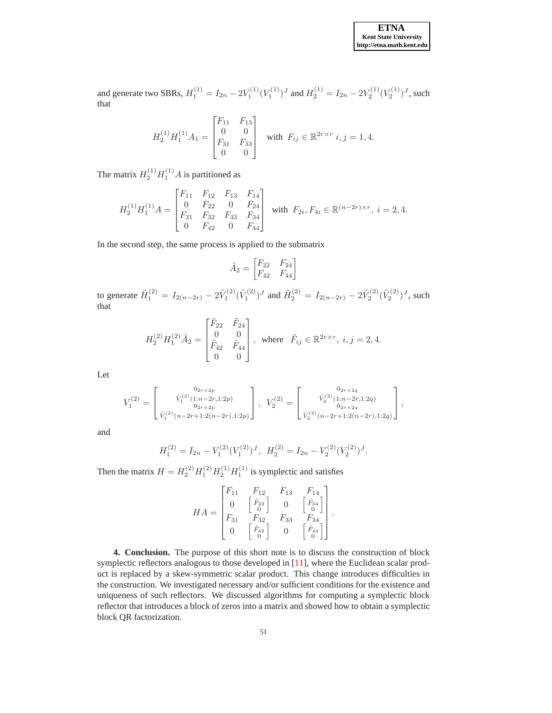and generate two SBRs,  $H_1^{(1)} = I_{2n} - 2V_1^{(1)}(V_1^{(1)})^J$  and  $H_2^{(1)} = I_{2n} - 2V_2^{(1)}(V_2^{(1)})^J$ , such that

$$
H_2^{(1)}H_1^{(1)}A_1 = \begin{bmatrix} F_{11} & F_{13} \\ 0 & 0 \\ F_{31} & F_{33} \\ 0 & 0 \end{bmatrix} \text{ with } F_{ij} \in \mathbb{R}^{2r \times r} \ i, j = 1, 4.
$$

The matrix  $H_2^{(1)}H_1^{(1)}A$  is partitioned as

$$
H_2^{(1)}H_1^{(1)}A=\begin{bmatrix} F_{11} & F_{12} & F_{13} & F_{14} \\ 0 & F_{22} & 0 & F_{24} \\ F_{31} & F_{32} & F_{33} & F_{34} \\ 0 & F_{42} & 0 & F_{44} \end{bmatrix} \text{ with } F_{2i}, F_{4i}\in\mathbb{R}^{(n-2r)\times r},\ i=2,4.
$$

In the second step, the same process is applied to the submatrix

$$
\tilde{A}_2 = \begin{bmatrix} F_{22} & F_{24} \\ F_{42} & F_{44} \end{bmatrix}
$$

to generate  $\tilde{H}_1^{(2)} = I_{2(n-2r)} - 2\tilde{V}_1^{(2)}(\tilde{V}_1^{(2)})^J$  and  $\tilde{H}_2^{(2)} = I_{2(n-2r)} - 2\tilde{V}_2^{(2)}(\tilde{V}_2^{(2)})^J$ , such that

$$
H_2^{(2)}H_1^{(2)}\tilde{A}_2=\begin{bmatrix} \tilde{F}_{22} & \tilde{F}_{24} \\ 0 & 0 \\ \tilde{F}_{42} & \tilde{F}_{44} \\ 0 & 0 \end{bmatrix}, \ \ \text{where} \ \ \tilde{F}_{ij}\in\mathbb{R}^{2r\times r}, \ i,j=2,4.
$$

Let

$$
V_1^{(2)} = \begin{bmatrix} 0_{2r \times 2p} & 0_{2r \times 2q} \\ \tilde{V}_1^{(2)}(1:n-2r,1:2p) & 0_{2r \times 2p} \\ 0_{2r \times 2p} & 0_{2r \times 2p} \end{bmatrix}, \quad V_2^{(2)} = \begin{bmatrix} 0_{2r \times 2q} & 0_{2r \times 2q} \\ \tilde{V}_2^{(2)}(1:n-2r,1:2q) & 0_{2r \times 2q} \\ 0_{2r \times 2q} & 0_{2r \times 2q} \end{bmatrix},
$$

and

$$
H_1^{(2)} = I_{2n} - V_1^{(2)} (V_1^{(2)})^J, \quad H_2^{(2)} = I_{2n} - V_2^{(2)} (V_2^{(2)})^J.
$$

Then the matrix  $H = H_2^{(2)} H_1^{(2)} H_2^{(1)} H_1^{(1)}$  is symplectic and satisfies

$$
HA = \begin{bmatrix} F_{11} & F_{12} & F_{13} & F_{14} \\ 0 & \begin{bmatrix} \tilde{F}_{22} \\ 0 \end{bmatrix} & 0 & \begin{bmatrix} \tilde{F}_{24} \\ 0 \end{bmatrix} \\ F_{31} & F_{32} & F_{33} & F_{34} \\ 0 & \begin{bmatrix} \tilde{F}_{42} \\ 0 \end{bmatrix} & 0 & \begin{bmatrix} \tilde{F}_{44} \\ 0 \end{bmatrix} \end{bmatrix}.
$$

**4. Conclusion.** The purpose of this short note is to discuss the construction of block symplectic reflectors analogous to those developed in [\[11\]](#page-7-2), where the Euclidean scalar product is replaced by a skew-symmetric scalar product. This change introduces difficulties in the construction. We investigated necessary and/or sufficient conditions for the existence and uniqueness of such reflectors. We discussed algorithms for computing a symplectic block reflector that introduces a block of zeros into a matrix and showed how to obtain a symplectic block QR factorization.